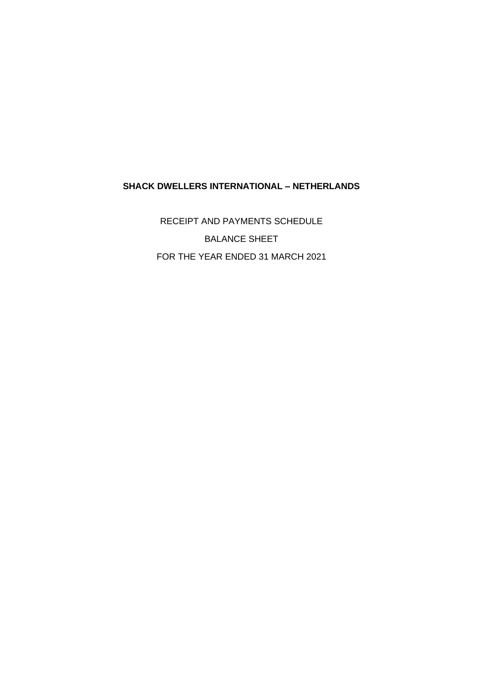## **SHACK DWELLERS INTERNATIONAL – NETHERLANDS**

RECEIPT AND PAYMENTS SCHEDULE BALANCE SHEET FOR THE YEAR ENDED 31 MARCH 2021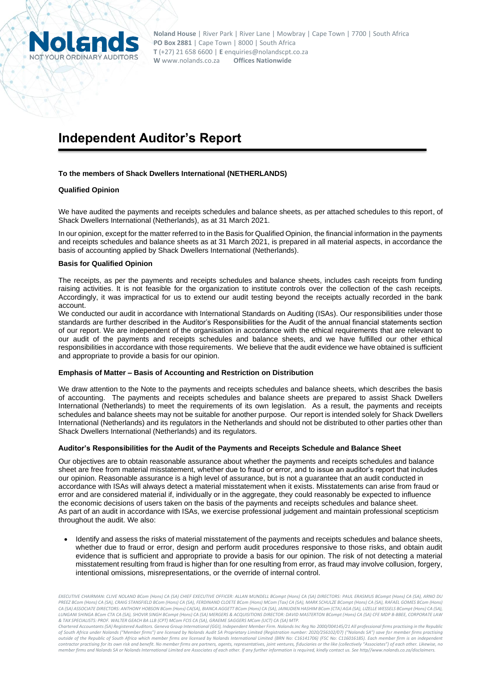

# **Independent Auditor's Report**

#### **To the members of Shack Dwellers International (NETHERLANDS)**

#### **Qualified Opinion**

We have audited the payments and receipts schedules and balance sheets, as per attached schedules to this report, of Shack Dwellers International (Netherlands), as at 31 March 2021.

In our opinion, except for the matter referred to in the Basis for Qualified Opinion, the financial information in the payments and receipts schedules and balance sheets as at 31 March 2021, is prepared in all material aspects, in accordance the basis of accounting applied by Shack Dwellers International (Netherlands).

#### **Basis for Qualified Opinion**

The receipts, as per the payments and receipts schedules and balance sheets, includes cash receipts from funding raising activities. It is not feasible for the organization to institute controls over the collection of the cash receipts. Accordingly, it was impractical for us to extend our audit testing beyond the receipts actually recorded in the bank account.

We conducted our audit in accordance with International Standards on Auditing (ISAs). Our responsibilities under those standards are further described in the Auditor's Responsibilities for the Audit of the annual financial statements section of our report. We are independent of the organisation in accordance with the ethical requirements that are relevant to our audit of the payments and receipts schedules and balance sheets, and we have fulfilled our other ethical responsibilities in accordance with those requirements. We believe that the audit evidence we have obtained is sufficient and appropriate to provide a basis for our opinion.

#### **Emphasis of Matter – Basis of Accounting and Restriction on Distribution**

We draw attention to the Note to the payments and receipts schedules and balance sheets, which describes the basis of accounting. The payments and receipts schedules and balance sheets are prepared to assist Shack Dwellers International (Netherlands) to meet the requirements of its own legislation. As a result, the payments and receipts schedules and balance sheets may not be suitable for another purpose. Our report is intended solely for Shack Dwellers International (Netherlands) and its regulators in the Netherlands and should not be distributed to other parties other than Shack Dwellers International (Netherlands) and its regulators.

#### **Auditor's Responsibilities for the Audit of the Payments and Receipts Schedule and Balance Sheet**

Our objectives are to obtain reasonable assurance about whether the payments and receipts schedules and balance sheet are free from material misstatement, whether due to fraud or error, and to issue an auditor's report that includes our opinion. Reasonable assurance is a high level of assurance, but is not a guarantee that an audit conducted in accordance with ISAs will always detect a material misstatement when it exists. Misstatements can arise from fraud or error and are considered material if, individually or in the aggregate, they could reasonably be expected to influence the economic decisions of users taken on the basis of the payments and receipts schedules and balance sheet. As part of an audit in accordance with ISAs, we exercise professional judgement and maintain professional scepticism throughout the audit. We also:

• Identify and assess the risks of material misstatement of the payments and receipts schedules and balance sheets, whether due to fraud or error, design and perform audit procedures responsive to those risks, and obtain audit evidence that is sufficient and appropriate to provide a basis for our opinion. The risk of not detecting a material misstatement resulting from fraud is higher than for one resulting from error, as fraud may involve collusion, forgery, intentional omissions, misrepresentations, or the override of internal control.

*EXECUTIVE CHAIRMAN: CLIVE NOLAND BCom (Hons) CA (SA) CHIEF EXECUTIVE OFFICER: ALLAN MUNDELL BCompt (Hons) CA (SA) DIRECTORS: PAUL ERASMUS BCompt (Hons) CA (SA), ARNO DU PREEZ BCom (Hons) CA (SA), CRAIG STANSFIELD BCom (Hons) CA (SA), FERDINAND CLOETE BCom (Hons) MCom (Tax) CA (SA), MARK SCHULZE BCompt (Hons) CA (SA), RAFAEL GOMES BCom (Hons)*  CA (SA) ASSOCIATE DIRECTORS: ANTHONY HOBSON BCom (Hons) CA(SA), BIANCA AGGETT BCom (Hons) CA (SA), JANNUDIEN HASHIM BCom (CTA) AGA (SA), LIZELLE WESSELS BCompt (Hons) CA (SA), CA (SA), CR<br>LUNGANI SHINGA BCom CTA CA (SA), S *& TAX SPECIALISTS: PROF. WALTER GEACH BA LLB (CPT) MCom FCIS CA (SA), GRAEME SAGGERS MCom (UCT) CA (SA) MTP. Chartered Accountants (SA) Registered Auditors. Geneva Group International (GGI), Independent Member Firm. Nolands Inc Reg No 2000/004145/21 All professional firms practising in the Republic* 

*of South Africa under Nolands ("Member firms") are licensed by Nolands Audit SA Proprietary Limited (Registration number: 2020/256102/07) ("Nolands SA") save for member firms practising*  outside of the Republic of South Africa which member firms are licensed by Nolands International Limited (BRN No: C16141706) (FSC No: C116016185). Each member firm is an independent<br>contractor practising for its own risk a *member firms and Nolands SA or Nolands International Limited are Associates of each other. If any further information is required, kindly contact us. Se[e http//www.nolands.co.za/disclaimers.](http://www.nolands.co.za/disclaimers)*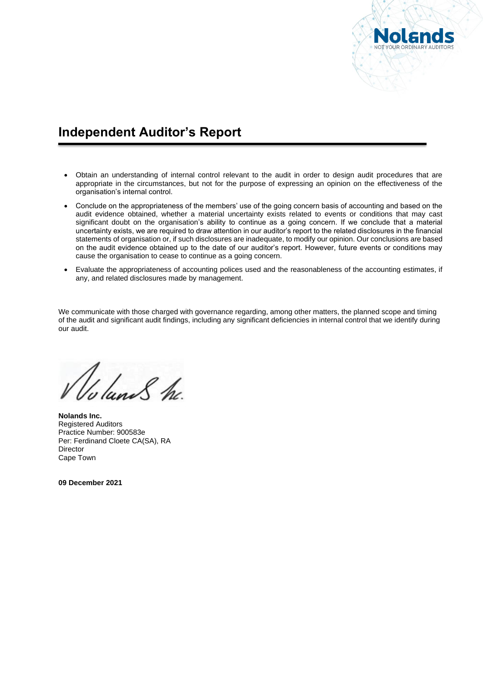

# **Independent Auditor's Report**

- Obtain an understanding of internal control relevant to the audit in order to design audit procedures that are appropriate in the circumstances, but not for the purpose of expressing an opinion on the effectiveness of the organisation's internal control.
- Conclude on the appropriateness of the members' use of the going concern basis of accounting and based on the audit evidence obtained, whether a material uncertainty exists related to events or conditions that may cast significant doubt on the organisation's ability to continue as a going concern. If we conclude that a material uncertainty exists, we are required to draw attention in our auditor's report to the related disclosures in the financial statements of organisation or, if such disclosures are inadequate, to modify our opinion. Our conclusions are based on the audit evidence obtained up to the date of our auditor's report. However, future events or conditions may cause the organisation to cease to continue as a going concern.
- Evaluate the appropriateness of accounting polices used and the reasonableness of the accounting estimates, if any, and related disclosures made by management.

We communicate with those charged with governance regarding, among other matters, the planned scope and timing of the audit and significant audit findings, including any significant deficiencies in internal control that we identify during our audit.

Junes he

**Nolands Inc.** Registered Auditors Practice Number: 900583e Per: Ferdinand Cloete CA(SA), RA Director Cape Town

**09 December 2021**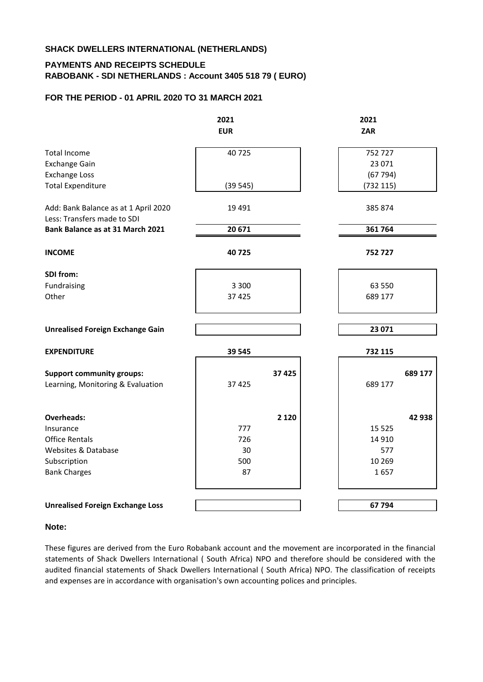## **SHACK DWELLERS INTERNATIONAL (NETHERLANDS)**

## **PAYMENTS AND RECEIPTS SCHEDULE RABOBANK - SDI NETHERLANDS : Account 3405 518 79 ( EURO)**

### **FOR THE PERIOD - 01 APRIL 2020 TO 31 MARCH 2021**

|                                                                     | 2021<br><b>EUR</b> |         | 2021<br>ZAR |         |
|---------------------------------------------------------------------|--------------------|---------|-------------|---------|
| <b>Total Income</b>                                                 | 40725              |         | 752727      |         |
| <b>Exchange Gain</b>                                                |                    |         | 23 071      |         |
| <b>Exchange Loss</b>                                                |                    |         | (67794)     |         |
| <b>Total Expenditure</b>                                            | (39545)            |         | (732 115)   |         |
| Add: Bank Balance as at 1 April 2020<br>Less: Transfers made to SDI | 19 4 91            |         | 385 874     |         |
| Bank Balance as at 31 March 2021                                    | 20 671             |         | 361 764     |         |
| <b>INCOME</b>                                                       | 40725              |         | 752727      |         |
| SDI from:                                                           |                    |         |             |         |
| Fundraising                                                         | 3 3 0 0            |         | 63 550      |         |
| Other                                                               | 37 4 25            |         | 689 177     |         |
|                                                                     |                    |         |             |         |
| <b>Unrealised Foreign Exchange Gain</b>                             |                    |         | 23 071      |         |
| <b>EXPENDITURE</b>                                                  | 39 545             |         | 732 115     |         |
| <b>Support community groups:</b>                                    |                    | 37 4 25 |             | 689 177 |
| Learning, Monitoring & Evaluation                                   | 37 4 25            |         | 689 177     |         |
|                                                                     |                    |         |             |         |
| <b>Overheads:</b><br>Insurance                                      | 777                | 2 1 2 0 | 15 5 25     | 42 938  |
| <b>Office Rentals</b>                                               | 726                |         | 14 9 10     |         |
| <b>Websites &amp; Database</b>                                      | 30                 |         | 577         |         |
| Subscription                                                        | 500                |         | 10 269      |         |
| <b>Bank Charges</b>                                                 | 87                 |         | 1657        |         |
|                                                                     |                    |         |             |         |
| <b>Unrealised Foreign Exchange Loss</b>                             |                    |         | 67 794      |         |

### **Note:**

These figures are derived from the Euro Robabank account and the movement are incorporated in the financial statements of Shack Dwellers International ( South Africa) NPO and therefore should be considered with the audited financial statements of Shack Dwellers International ( South Africa) NPO. The classification of receipts and expenses are in accordance with organisation's own accounting polices and principles.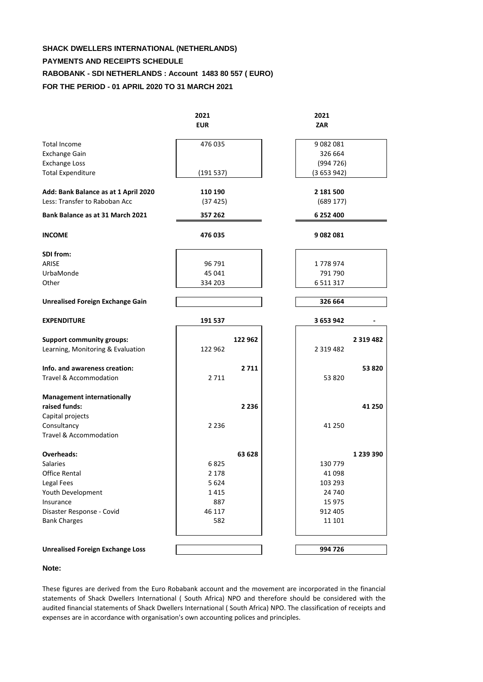# **SHACK DWELLERS INTERNATIONAL (NETHERLANDS) PAYMENTS AND RECEIPTS SCHEDULE RABOBANK - SDI NETHERLANDS : Account 1483 80 557 ( EURO) FOR THE PERIOD - 01 APRIL 2020 TO 31 MARCH 2021**

|                                         | 2021       | 2021          |               |
|-----------------------------------------|------------|---------------|---------------|
|                                         | <b>EUR</b> | <b>ZAR</b>    |               |
| <b>Total Income</b>                     | 476 035    | 9082081       |               |
| <b>Exchange Gain</b>                    |            | 326 664       |               |
| <b>Exchange Loss</b>                    |            | (994726)      |               |
| <b>Total Expenditure</b>                | (191537)   | (3653942)     |               |
| Add: Bank Balance as at 1 April 2020    | 110 190    | 2 181 500     |               |
| Less: Transfer to Raboban Acc           | (37425)    | (689 177)     |               |
| Bank Balance as at 31 March 2021        | 357 262    | 6 252 400     |               |
| <b>INCOME</b>                           | 476 035    | 9 082 081     |               |
| SDI from:                               |            |               |               |
| ARISE                                   | 96 791     | 1778974       |               |
| UrbaMonde                               | 45 041     | 791 790       |               |
| Other                                   | 334 203    | 6 5 1 1 3 1 7 |               |
| <b>Unrealised Foreign Exchange Gain</b> |            | 326 664       |               |
| <b>EXPENDITURE</b>                      | 191 537    | 3 653 942     |               |
| <b>Support community groups:</b>        | 122 962    |               | 2 3 1 9 4 8 2 |
| Learning, Monitoring & Evaluation       | 122 962    | 2 3 1 9 4 8 2 |               |
| Info. and awareness creation:           | 2711       |               | 53 820        |
| <b>Travel &amp; Accommodation</b>       | 2 7 1 1    | 53 820        |               |
| <b>Management internationally</b>       |            |               |               |
| raised funds:                           | 2 2 3 6    |               | 41 250        |
| Capital projects                        |            |               |               |
| Consultancy                             | 2 2 3 6    | 41 250        |               |
| Travel & Accommodation                  |            |               |               |
| <b>Overheads:</b>                       | 63 628     |               | 1 239 390     |
| <b>Salaries</b>                         | 6825       | 130 779       |               |
| <b>Office Rental</b>                    | 2 1 7 8    | 41 098        |               |
| Legal Fees                              | 5 6 2 4    | 103 293       |               |
| Youth Development                       | 1415       | 24 740        |               |
| Insurance                               | 887        | 15 975        |               |
| Disaster Response - Covid               | 46 117     | 912 405       |               |
| <b>Bank Charges</b>                     | 582        | 11 101        |               |
|                                         |            |               |               |
| <b>Unrealised Foreign Exchange Loss</b> |            | 994 726       |               |

### **Note:**

These figures are derived from the Euro Robabank account and the movement are incorporated in the financial statements of Shack Dwellers International ( South Africa) NPO and therefore should be considered with the audited financial statements of Shack Dwellers International ( South Africa) NPO. The classification of receipts and expenses are in accordance with organisation's own accounting polices and principles.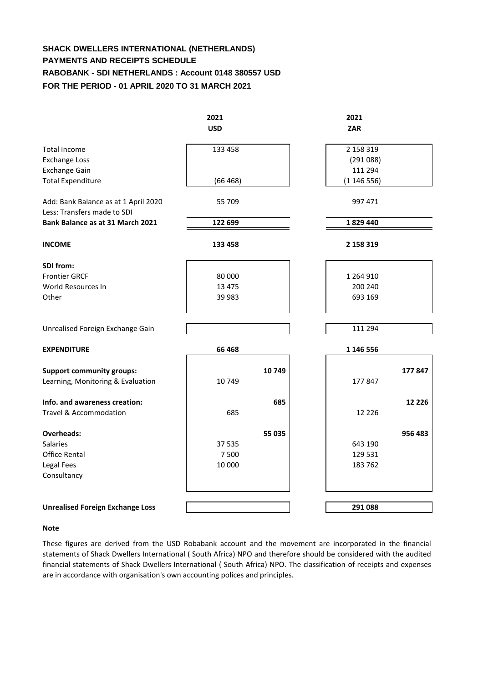# **SHACK DWELLERS INTERNATIONAL (NETHERLANDS) PAYMENTS AND RECEIPTS SCHEDULE RABOBANK - SDI NETHERLANDS : Account 0148 380557 USD FOR THE PERIOD - 01 APRIL 2020 TO 31 MARCH 2021**

|                                                                     | 2021<br><b>USD</b> |        | 2021<br><b>ZAR</b> |          |
|---------------------------------------------------------------------|--------------------|--------|--------------------|----------|
|                                                                     |                    |        |                    |          |
| Total Income                                                        | 133 458            |        | 2 158 319          |          |
| <b>Exchange Loss</b>                                                |                    |        | (291088)           |          |
| <b>Exchange Gain</b>                                                |                    |        | 111 294            |          |
| <b>Total Expenditure</b>                                            | (66468)            |        | (1146556)          |          |
| Add: Bank Balance as at 1 April 2020<br>Less: Transfers made to SDI | 55 709             |        | 997 471            |          |
| Bank Balance as at 31 March 2021                                    | 122 699            |        | 1829440            |          |
| <b>INCOME</b>                                                       | 133 458            |        | 2 158 319          |          |
| SDI from:                                                           |                    |        |                    |          |
| <b>Frontier GRCF</b>                                                | 80 000             |        | 1 264 910          |          |
| World Resources In                                                  | 13 4 7 5           |        | 200 240            |          |
| Other                                                               | 39 983             |        | 693 169            |          |
|                                                                     |                    |        |                    |          |
| Unrealised Foreign Exchange Gain                                    |                    |        | 111 294            |          |
| <b>EXPENDITURE</b>                                                  | 66 468             |        | 1 146 556          |          |
| <b>Support community groups:</b>                                    |                    | 10749  |                    | 177847   |
| Learning, Monitoring & Evaluation                                   | 10749              |        | 177847             |          |
| Info. and awareness creation:                                       |                    | 685    |                    | 12 2 2 6 |
| Travel & Accommodation                                              | 685                |        | 12 2 2 6           |          |
| <b>Overheads:</b>                                                   |                    | 55 035 |                    | 956 483  |
| Salaries.                                                           | 37 535             |        | 643 190            |          |
| Office Rental                                                       | 7500               |        | 129 531            |          |
| Legal Fees                                                          | 10 000             |        | 183762             |          |
| Consultancy                                                         |                    |        |                    |          |
|                                                                     |                    |        |                    |          |
| <b>Unrealised Foreign Exchange Loss</b>                             |                    |        | 291 088            |          |

### **Note**

These figures are derived from the USD Robabank account and the movement are incorporated in the financial statements of Shack Dwellers International ( South Africa) NPO and therefore should be considered with the audited financial statements of Shack Dwellers International ( South Africa) NPO. The classification of receipts and expenses are in accordance with organisation's own accounting polices and principles.